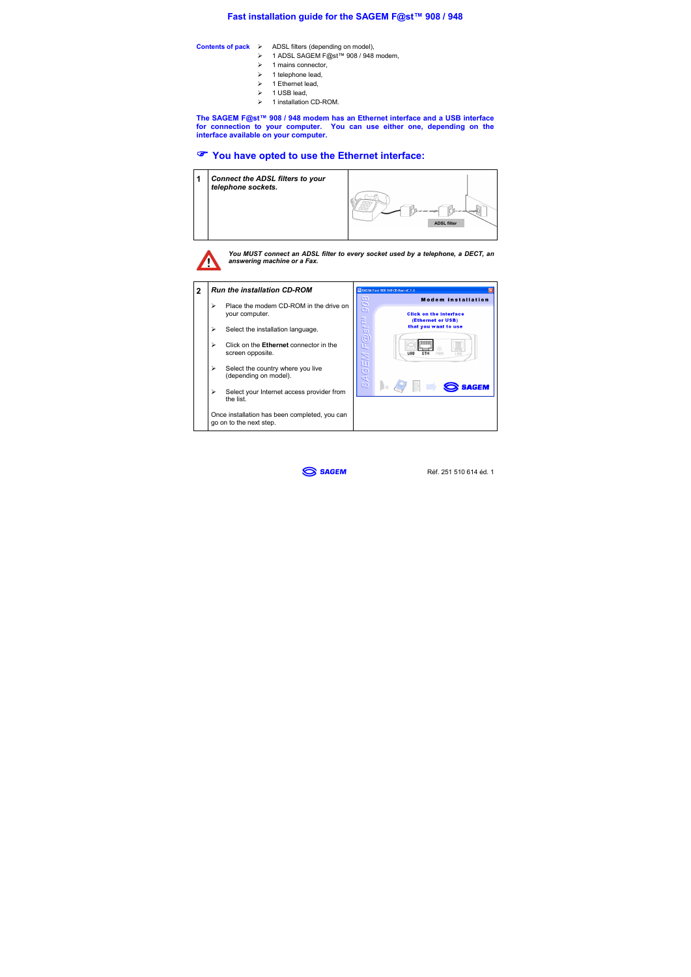#### **Fast installation guide for the SAGEM F@st™ 908 / 948**

#### **Contents of pack**  $\triangleright$  ADSL filters (depending on model).

- ¾ 1 ADSL SAGEM F@st™ 908 / 948 modem,
- $\geq 1$  mains connector.
- $\geq 1$  telephone lead.
- $\geq 1$  Ethernet lead.
- $\geq 1$  USB lead.
- ¾ 1 installation CD-ROM.

**The SAGEM F@st™ 908 / 948 modem has an Ethernet interface and a USB interface for connection to your computer. You can use either one, depending on the interface available on your computer.**

### ) **You have opted to use the Ethernet interface:**





*You MUST connect an ADSL filter to every socket used by a telephone, a DECT, an answering machine or a Fax.*



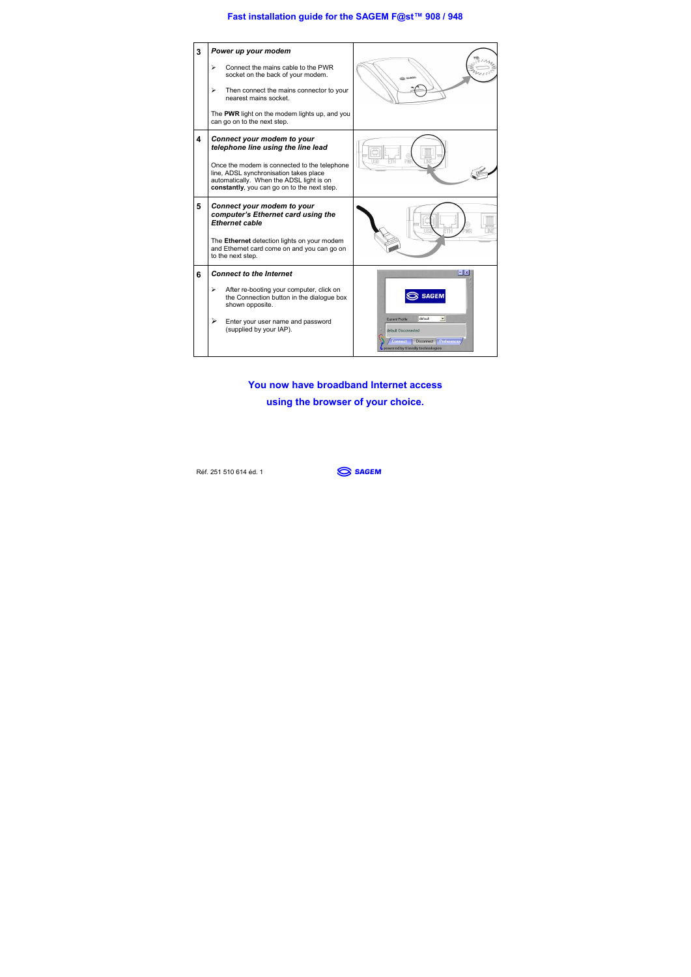## **Fast installation guide for the SAGEM F@st™ 908 / 948**



**You now have broadband Internet access using the browser of your choice.**



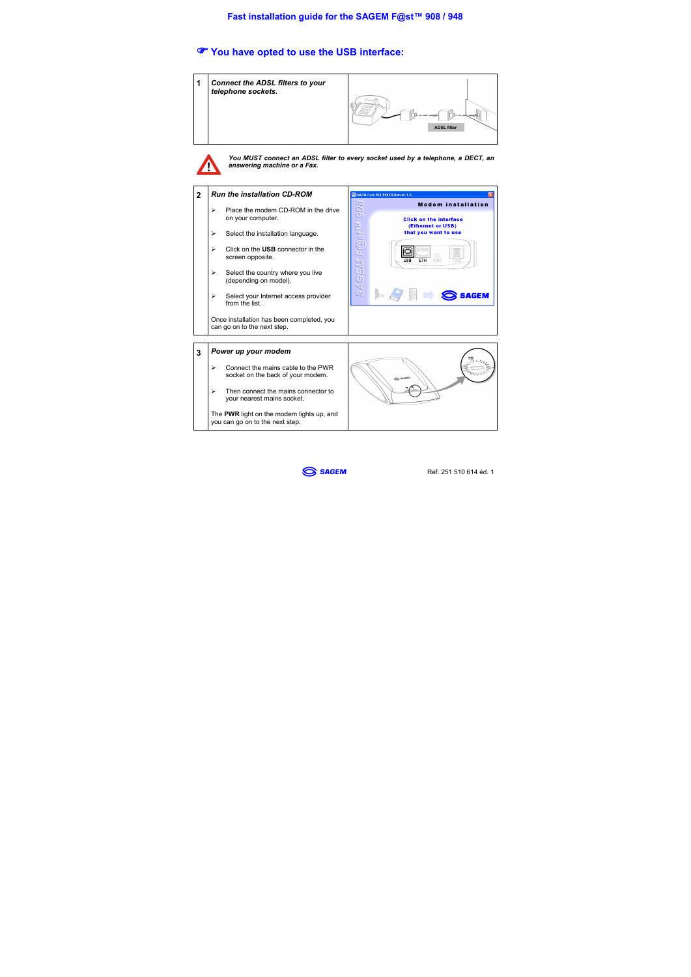# )**You have opted to use the USB interface:**





*You MUST connect an ADSL filter to every socket used by a telephone, a DECT, an answering machine or a Fax.*



you can go on to the next step.